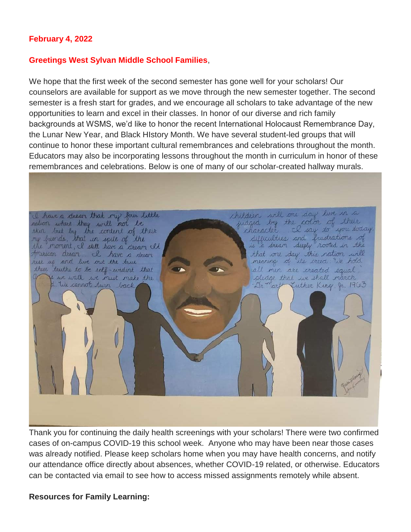#### **February 4, 2022**

#### **Greetings West Sylvan Middle School Families**,

We hope that the first week of the second semester has gone well for your scholars! Our counselors are available for support as we move through the new semester together. The second semester is a fresh start for grades, and we encourage all scholars to take advantage of the new opportunities to learn and excel in their classes. In honor of our diverse and rich family backgrounds at WSMS, we'd like to honor the recent International Holocaust Remembrance Day, the Lunar New Year, and Black HIstory Month. We have several student-led groups that will continue to honor these important cultural remembrances and celebrations throughout the month. Educators may also be incorporating lessons throughout the month in curriculum in honor of these remembrances and celebrations. Below is one of many of our scholar-created hallway murals.

children will one day live in a I have a deean that my four little nation where they will not be<br>skirt but by the content of their<br>ry fainds, that in spite of the judged by the color of their character. I say to you today. difficulties and frustrations of the moment, I still have a dream It that one day this nation will francian dream & have a dream meaning of its creed: We hold rese up and live out the true these truths to be self-evident that all men are created equal If we walk we must make the pledge that we shall march We cannot turn back Dr. Mart Zuther King, Jr. 1963

Thank you for continuing the daily health screenings with your scholars! There were two confirmed cases of on-campus COVID-19 this school week. Anyone who may have been near those cases was already notified. Please keep scholars home when you may have health concerns, and notify our attendance office directly about absences, whether COVID-19 related, or otherwise. Educators can be contacted via email to see how to access missed assignments remotely while absent.

**Resources for Family Learning:**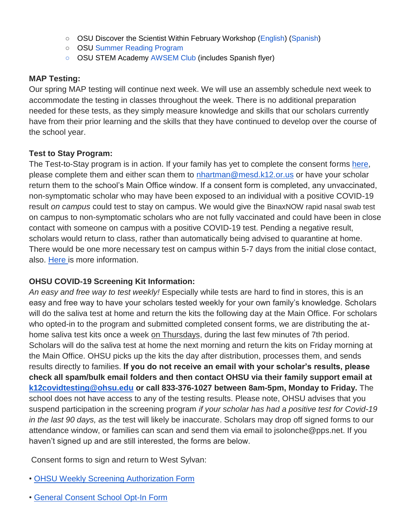- OSU Discover the Scientist Within February Workshop [\(English\)](https://www.pps.net/cms/lib/OR01913224/Centricity/Domain/254/FebDSW2022Flyer.pdf) [\(Spanish\)](https://www.pps.net/cms/lib/OR01913224/Centricity/Domain/254/FebDSW2022FlyerSpanish.pdf)
- OSU [Summer Reading Program](https://www.pps.net/cms/lib/OR01913224/Centricity/Domain/254/OSU-reading-summer-2022.pdf)
- OSU STEM Academy [AWSEM Club](https://www.pps.net/cms/lib/OR01913224/Centricity/Domain/254/AWSEM_Flyer_Combined_General.pdf) (includes Spanish flyer)

### **MAP Testing:**

Our spring MAP testing will continue next week. We will use an assembly schedule next week to accommodate the testing in classes throughout the week. There is no additional preparation needed for these tests, as they simply measure knowledge and skills that our scholars currently have from their prior learning and the skills that they have continued to develop over the course of the school year.

### **Test to Stay Program:**

The Test-to-Stay program is in action. If your family has yet to complete the consent forms [here,](https://sharedsystems.dhsoha.state.or.us/DHSForms/Served/le3560e.pdf) please complete them and either scan them to [nhartman@mesd.k12.or.us](mailto:nhartman@mesd.k12.or.us) or have your scholar return them to the school's Main Office window. If a consent form is completed, any unvaccinated, non-symptomatic scholar who may have been exposed to an individual with a positive COVID-19 result *on campus* could test to stay on campus. We would give the BinaxNOW rapid nasal swab test on campus to non-symptomatic scholars who are not fully vaccinated and could have been in close contact with someone on campus with a positive COVID-19 test. Pending a negative result, scholars would return to class, rather than automatically being advised to quarantine at home. There would be one more necessary test on campus within 5-7 days from the initial close contact, also. [Here i](https://docs.google.com/document/d/1RiifxD8ZyotgtTy4q0zU6VYEbklFNPNaDJapztiE6EI/edit?usp=sharing)s more information.

# **OHSU COVID-19 Screening Kit Information:**

*An easy and free way to test weekly!* Especially while tests are hard to find in stores, this is an easy and free way to have your scholars tested weekly for your own family's knowledge. Scholars will do the saliva test at home and return the kits the following day at the Main Office. For scholars who opted-in to the program and submitted completed consent forms, we are distributing the athome saliva test kits once a week on Thursdays, during the last few minutes of 7th period. Scholars will do the saliva test at home the next morning and return the kits on Friday morning at the Main Office. OHSU picks up the kits the day after distribution, processes them, and sends results directly to families. **If you do not receive an email with your scholar's results, please check all spam/bulk email folders and then contact OHSU via their family support email at [k12covidtesting@ohsu.edu](mailto:k12covidtesting@ohsu.edu) or call 833-376-1027 between 8am-5pm, Monday to Friday.** The school does not have access to any of the testing results. Please note, OHSU advises that you suspend participation in the screening program *if your scholar has had a positive test for Covid-19 in the last 90 days, as* the test will likely be inaccurate. Scholars may drop off signed forms to our attendance window, or families can scan and send them via email to jsolonche@pps.net. If you haven't signed up and are still interested, the forms are below.

Consent forms to sign and return to West Sylvan:

- [•](https://drive.google.com/file/d/1WKfLwknOXIYGfjiVTURKB7wvlQW8DAhR/view?usp=sharing) [OHSU Weekly Screening Authorization Form](https://drive.google.com/file/d/1WKfLwknOXIYGfjiVTURKB7wvlQW8DAhR/view?usp=sharing)
- [•](https://drive.google.com/file/d/1JELJW3M6_gp013Dp_Z7QDpvKmsqC5G-S/view?usp=sharing) [General Consent School Opt-In Form](https://drive.google.com/file/d/1JELJW3M6_gp013Dp_Z7QDpvKmsqC5G-S/view?usp=sharing)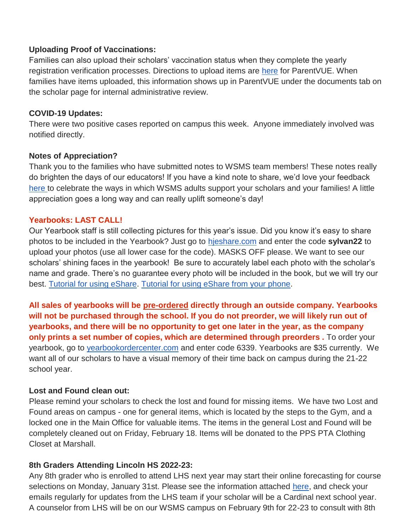### **Uploading Proof of Vaccinations:**

Families can also upload their scholars' vaccination status when they complete the yearly registration verification processes. Directions to upload items are [here](https://docs.google.com/document/d/1AxHhVVEjAqJxV1Vuh9PnfwkZHcp-Tde_x6iFOOEy58Y/edit) for ParentVUE. When families have items uploaded, this information shows up in ParentVUE under the documents tab on the scholar page for internal administrative review.

#### **COVID-19 Updates:**

There were two positive cases reported on campus this week. Anyone immediately involved was notified directly.

#### **Notes of Appreciation?**

Thank you to the families who have submitted notes to WSMS team members! These notes really do brighten the days of our educators! If you have a kind note to share, we'd love your feedback [here t](https://forms.gle/3TsJKYDfcfbLhiKu7)o celebrate the ways in which WSMS adults support your scholars and your families! A little appreciation goes a long way and can really uplift someone's day!

#### **Yearbooks: LAST CALL!**

Our Yearbook staff is still collecting pictures for this year's issue. Did you know it's easy to share photos to be included in the Yearbook? Just go to [hjeshare.com](https://hjeshare.com/eShare/) and enter the code **sylvan22** to upload your photos (use all lower case for the code). MASKS OFF please. We want to see our scholars' shining faces in the yearbook! Be sure to accurately label each photo with the scholar's name and grade. There's no guarantee every photo will be included in the book, but we will try our best. [Tutorial for using eShare.](https://herffjones.wistia.com/medias/h1e7m2ythz) [Tutorial for using eShare from your phone.](https://herffjones.wistia.com/medias/62ap3qbbp3)

**All sales of yearbooks will be pre-ordered directly through an outside company. Yearbooks will not be purchased through the school. If you do not preorder, we will likely run out of yearbooks, and there will be no opportunity to get one later in the year, as the company only prints a set number of copies, which are determined through preorders .** To order your yearbook, go to [yearbookordercenter.com](http://yearbookordercenter.com/) and enter code 6339. Yearbooks are \$35 currently. We want all of our scholars to have a visual memory of their time back on campus during the 21-22 school year.

### **Lost and Found clean out:**

Please remind your scholars to check the lost and found for missing items. We have two Lost and Found areas on campus - one for general items, which is located by the steps to the Gym, and a locked one in the Main Office for valuable items. The items in the general Lost and Found will be completely cleaned out on Friday, February 18. Items will be donated to the PPS PTA Clothing Closet at Marshall.

### **8th Graders Attending Lincoln HS 2022-23:**

Any 8th grader who is enrolled to attend LHS next year may start their online forecasting for course selections on Monday, January 31st. Please see the information attached [here,](https://lhspdxcounseling.weebly.com/8th-grade-forecasting.html) and check your emails regularly for updates from the LHS team if your scholar will be a Cardinal next school year. A counselor from LHS will be on our WSMS campus on February 9th for 22-23 to consult with 8th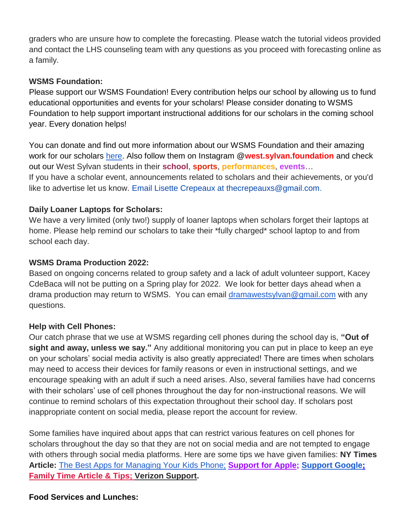graders who are unsure how to complete the forecasting. Please watch the tutorial videos provided and contact the LHS counseling team with any questions as you proceed with forecasting online as a family.

### **WSMS Foundation:**

Please support our WSMS Foundation! Every contribution helps our school by allowing us to fund educational opportunities and events for your scholars! Please consider donating to WSMS Foundation to help support important instructional additions for our scholars in the coming school year. Every donation helps!

You can donate and find out more information about our WSMS Foundation and their amazing work for our scholars [here.](https://www.westsylvanfoundation.com/) Also follow them on Instagram @**west.sylvan.foundation** and check out our West Sylvan students in their **school**, **sports**, **performances**, **events**…

If you have a scholar event, announcements related to scholars and their achievements, or you'd like to advertise let us know. Email Lisette Crepeaux at thecrepeauxs@gmail.com.

## **Daily Loaner Laptops for Scholars:**

We have a very limited (only two!) supply of loaner laptops when scholars forget their laptops at home. Please help remind our scholars to take their \*fully charged\* school laptop to and from school each day.

## **WSMS Drama Production 2022:**

Based on ongoing concerns related to group safety and a lack of adult volunteer support, Kacey CdeBaca will not be putting on a Spring play for 2022. We look for better days ahead when a drama production may return to WSMS. You can email [dramawestsylvan@gmail.com](mailto:dramawestsylvan@gmail.com) with any questions.

### **Help with Cell Phones:**

Our catch phrase that we use at WSMS regarding cell phones during the school day is, **"Out of sight and away, unless we say."** Any additional monitoring you can put in place to keep an eye on your scholars' social media activity is also greatly appreciated! There are times when scholars may need to access their devices for family reasons or even in instructional settings, and we encourage speaking with an adult if such a need arises. Also, several families have had concerns with their scholars' use of cell phones throughout the day for non-instructional reasons. We will continue to remind scholars of this expectation throughout their school day. If scholars post inappropriate content on social media, please report the account for review.

Some families have inquired about apps that can restrict various features on cell phones for scholars throughout the day so that they are not on social media and are not tempted to engage with others through social media platforms. Here are some tips we have given families: **NY Times Article:** [The Best Apps for Managing Your Kids Phone;](https://www.nytimes.com/wirecutter/reviews/best-apps-to-manage-your-kids-phone/) **[Support for Apple;](https://support.apple.com/guide/iphone/set-up-parental-controls-iph00ba7d632/ios) [Support Google](https://support.google.com/families/answer/7103340?hl=en)[;](https://familytime.io/) [Family Time Article & Tips;](https://familytime.io/) [Verizon Support.](https://www.verizon.com/support/verizon-smart-family-restrictions-video/)** 

### **Food Services and Lunches:**